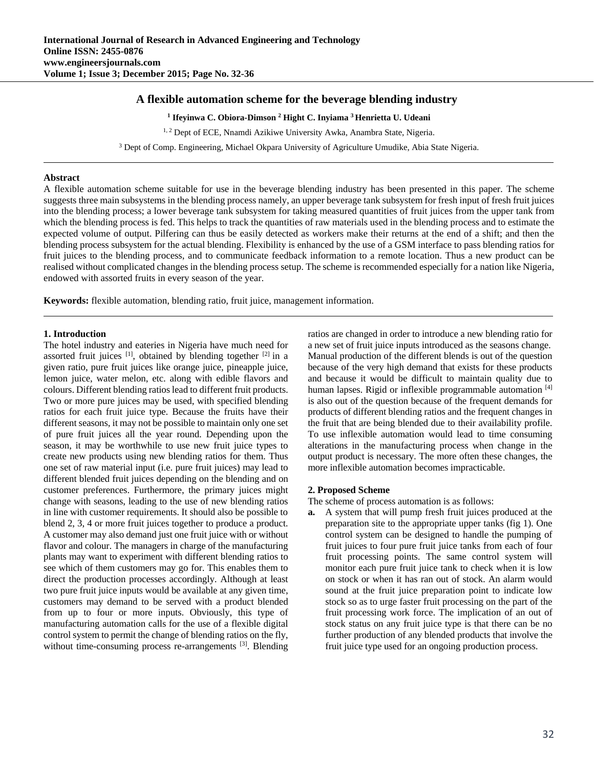# **A flexible automation scheme for the beverage blending industry**

**1 Ifeyinwa C. Obiora-Dimson 2 Hight C. Inyiama 3 Henrietta U. Udeani** 

<sup>1, 2</sup> Dept of ECE, Nnamdi Azikiwe University Awka, Anambra State, Nigeria.

3 Dept of Comp. Engineering, Michael Okpara University of Agriculture Umudike, Abia State Nigeria.

## **Abstract**

A flexible automation scheme suitable for use in the beverage blending industry has been presented in this paper. The scheme suggests three main subsystems in the blending process namely, an upper beverage tank subsystem for fresh input of fresh fruit juices into the blending process; a lower beverage tank subsystem for taking measured quantities of fruit juices from the upper tank from which the blending process is fed. This helps to track the quantities of raw materials used in the blending process and to estimate the expected volume of output. Pilfering can thus be easily detected as workers make their returns at the end of a shift; and then the blending process subsystem for the actual blending. Flexibility is enhanced by the use of a GSM interface to pass blending ratios for fruit juices to the blending process, and to communicate feedback information to a remote location. Thus a new product can be realised without complicated changes in the blending process setup. The scheme is recommended especially for a nation like Nigeria, endowed with assorted fruits in every season of the year.

**Keywords:** flexible automation, blending ratio, fruit juice, management information.

## **1. Introduction**

The hotel industry and eateries in Nigeria have much need for assorted fruit juices  $[1]$ , obtained by blending together  $[2]$  in a given ratio, pure fruit juices like orange juice, pineapple juice, lemon juice, water melon, etc. along with edible flavors and colours. Different blending ratios lead to different fruit products. Two or more pure juices may be used, with specified blending ratios for each fruit juice type. Because the fruits have their different seasons, it may not be possible to maintain only one set of pure fruit juices all the year round. Depending upon the season, it may be worthwhile to use new fruit juice types to create new products using new blending ratios for them. Thus one set of raw material input (i.e. pure fruit juices) may lead to different blended fruit juices depending on the blending and on customer preferences. Furthermore, the primary juices might change with seasons, leading to the use of new blending ratios in line with customer requirements. It should also be possible to blend 2, 3, 4 or more fruit juices together to produce a product. A customer may also demand just one fruit juice with or without flavor and colour. The managers in charge of the manufacturing plants may want to experiment with different blending ratios to see which of them customers may go for. This enables them to direct the production processes accordingly. Although at least two pure fruit juice inputs would be available at any given time, customers may demand to be served with a product blended from up to four or more inputs. Obviously, this type of manufacturing automation calls for the use of a flexible digital control system to permit the change of blending ratios on the fly, without time-consuming process re-arrangements <sup>[3]</sup>. Blending

ratios are changed in order to introduce a new blending ratio for a new set of fruit juice inputs introduced as the seasons change. Manual production of the different blends is out of the question because of the very high demand that exists for these products and because it would be difficult to maintain quality due to human lapses. Rigid or inflexible programmable automation [4] is also out of the question because of the frequent demands for products of different blending ratios and the frequent changes in the fruit that are being blended due to their availability profile. To use inflexible automation would lead to time consuming alterations in the manufacturing process when change in the output product is necessary. The more often these changes, the more inflexible automation becomes impracticable.

## **2. Proposed Scheme**

The scheme of process automation is as follows:

**a.** A system that will pump fresh fruit juices produced at the preparation site to the appropriate upper tanks (fig 1). One control system can be designed to handle the pumping of fruit juices to four pure fruit juice tanks from each of four fruit processing points. The same control system will monitor each pure fruit juice tank to check when it is low on stock or when it has ran out of stock. An alarm would sound at the fruit juice preparation point to indicate low stock so as to urge faster fruit processing on the part of the fruit processing work force. The implication of an out of stock status on any fruit juice type is that there can be no further production of any blended products that involve the fruit juice type used for an ongoing production process.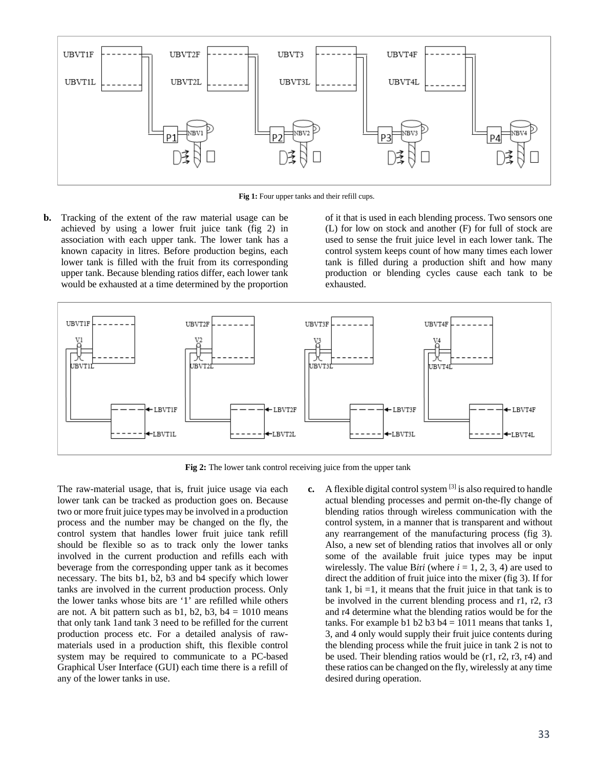

**Fig 1:** Four upper tanks and their refill cups.

**b.** Tracking of the extent of the raw material usage can be achieved by using a lower fruit juice tank (fig 2) in association with each upper tank. The lower tank has a known capacity in litres. Before production begins, each lower tank is filled with the fruit from its corresponding upper tank. Because blending ratios differ, each lower tank would be exhausted at a time determined by the proportion

of it that is used in each blending process. Two sensors one (L) for low on stock and another (F) for full of stock are used to sense the fruit juice level in each lower tank. The control system keeps count of how many times each lower tank is filled during a production shift and how many production or blending cycles cause each tank to be exhausted.



**Fig 2:** The lower tank control receiving juice from the upper tank

The raw-material usage, that is, fruit juice usage via each lower tank can be tracked as production goes on. Because two or more fruit juice types may be involved in a production process and the number may be changed on the fly, the control system that handles lower fruit juice tank refill should be flexible so as to track only the lower tanks involved in the current production and refills each with beverage from the corresponding upper tank as it becomes necessary. The bits b1, b2, b3 and b4 specify which lower tanks are involved in the current production process. Only the lower tanks whose bits are '1' are refilled while others are not. A bit pattern such as  $b1$ ,  $b2$ ,  $b3$ ,  $b4 = 1010$  means that only tank 1and tank 3 need to be refilled for the current production process etc. For a detailed analysis of rawmaterials used in a production shift, this flexible control system may be required to communicate to a PC-based Graphical User Interface (GUI) each time there is a refill of any of the lower tanks in use.

**c.** A flexible digital control system <sup>[3]</sup> is also required to handle actual blending processes and permit on-the-fly change of blending ratios through wireless communication with the control system, in a manner that is transparent and without any rearrangement of the manufacturing process (fig 3). Also, a new set of blending ratios that involves all or only some of the available fruit juice types may be input wirelessly. The value Biri (where  $i = 1, 2, 3, 4$ ) are used to direct the addition of fruit juice into the mixer (fig 3). If for tank 1, bi  $=1$ , it means that the fruit juice in that tank is to be involved in the current blending process and r1, r2, r3 and r4 determine what the blending ratios would be for the tanks. For example b1 b2 b3 b4 =  $1011$  means that tanks 1, 3, and 4 only would supply their fruit juice contents during the blending process while the fruit juice in tank 2 is not to be used. Their blending ratios would be (r1, r2, r3, r4) and these ratios can be changed on the fly, wirelessly at any time desired during operation.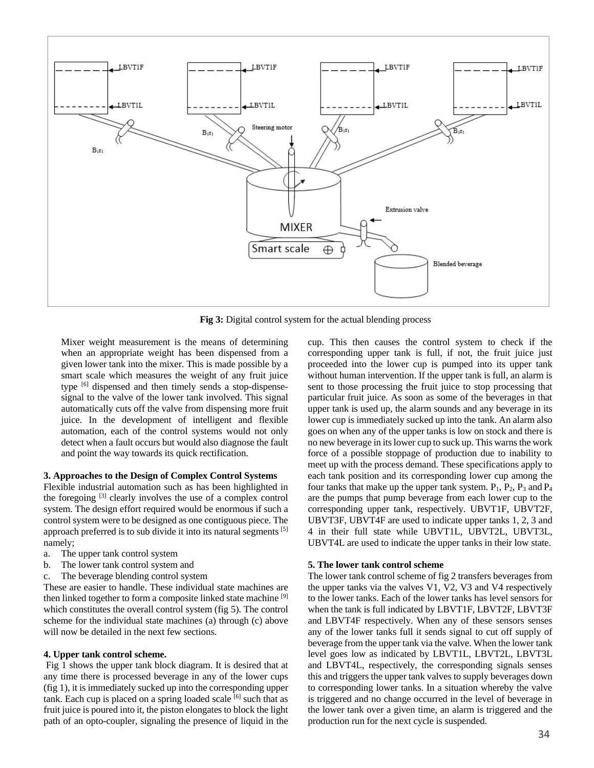

**Fig 3:** Digital control system for the actual blending process

Mixer weight measurement is the means of determining when an appropriate weight has been dispensed from a given lower tank into the mixer. This is made possible by a smart scale which measures the weight of any fruit juice type [6] dispensed and then timely sends a stop-dispensesignal to the valve of the lower tank involved. This signal automatically cuts off the valve from dispensing more fruit juice. In the development of intelligent and flexible automation, each of the control systems would not only detect when a fault occurs but would also diagnose the fault and point the way towards its quick rectification.

## **3. Approaches to the Design of Complex Control Systems**

Flexible industrial automation such as has been highlighted in the foregoing [3] clearly involves the use of a complex control system. The design effort required would be enormous if such a control system were to be designed as one contiguous piece. The approach preferred is to sub divide it into its natural segments <sup>[5]</sup> namely;

- a. The upper tank control system
- b. The lower tank control system and
- c. The beverage blending control system

These are easier to handle. These individual state machines are then linked together to form a composite linked state machine <sup>[9]</sup> which constitutes the overall control system (fig 5). The control scheme for the individual state machines (a) through (c) above will now be detailed in the next few sections.

#### **4. Upper tank control scheme.**

 Fig 1 shows the upper tank block diagram. It is desired that at any time there is processed beverage in any of the lower cups (fig 1), it is immediately sucked up into the corresponding upper tank. Each cup is placed on a spring loaded scale  $[6]$  such that as fruit juice is poured into it, the piston elongates to block the light path of an opto-coupler, signaling the presence of liquid in the

cup. This then causes the control system to check if the corresponding upper tank is full, if not, the fruit juice just proceeded into the lower cup is pumped into its upper tank without human intervention. If the upper tank is full, an alarm is sent to those processing the fruit juice to stop processing that particular fruit juice. As soon as some of the beverages in that upper tank is used up, the alarm sounds and any beverage in its lower cup is immediately sucked up into the tank. An alarm also goes on when any of the upper tanks is low on stock and there is no new beverage in its lower cup to suck up. This warns the work force of a possible stoppage of production due to inability to meet up with the process demand. These specifications apply to each tank position and its corresponding lower cup among the four tanks that make up the upper tank system.  $P_1$ ,  $P_2$ ,  $P_3$  and  $P_4$ are the pumps that pump beverage from each lower cup to the corresponding upper tank, respectively. UBVT1F, UBVT2F, UBVT3F, UBVT4F are used to indicate upper tanks 1, 2, 3 and 4 in their full state while UBVT1L, UBVT2L, UBVT3L, UBVT4L are used to indicate the upper tanks in their low state.

#### **5. The lower tank control scheme**

The lower tank control scheme of fig 2 transfers beverages from the upper tanks via the valves V1, V2, V3 and V4 respectively to the lower tanks. Each of the lower tanks has level sensors for when the tank is full indicated by LBVT1F, LBVT2F, LBVT3F and LBVT4F respectively. When any of these sensors senses any of the lower tanks full it sends signal to cut off supply of beverage from the upper tank via the valve. When the lower tank level goes low as indicated by LBVT1L, LBVT2L, LBVT3L and LBVT4L, respectively, the corresponding signals senses this and triggers the upper tank valves to supply beverages down to corresponding lower tanks. In a situation whereby the valve is triggered and no change occurred in the level of beverage in the lower tank over a given time, an alarm is triggered and the production run for the next cycle is suspended.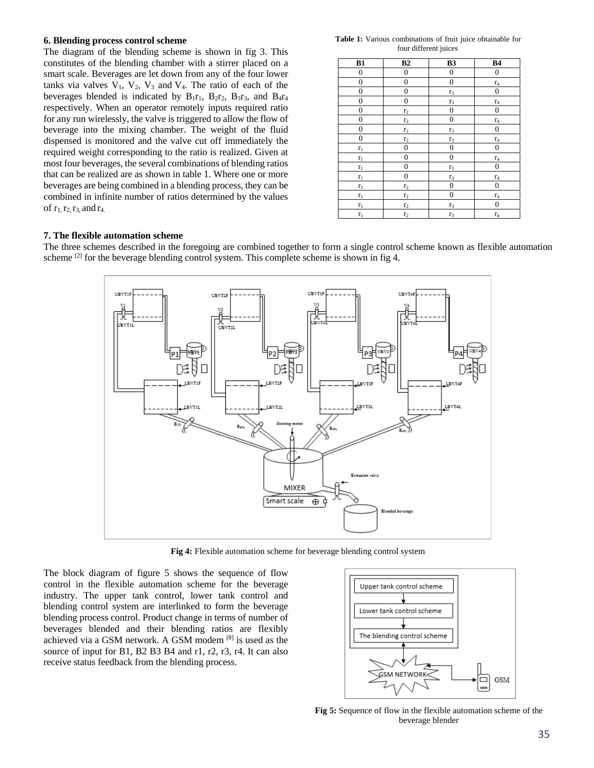### **6. Blending process control scheme**

The diagram of the blending scheme is shown in fig 3. This constitutes of the blending chamber with a stirrer placed on a smart scale. Beverages are let down from any of the four lower tanks via valves  $V_1$ ,  $V_2$ ,  $V_3$  and  $V_4$ . The ratio of each of the beverages blended is indicated by  $B_1r_1$ ,  $B_2r_2$ ,  $B_3r_3$ , and  $B_4r_4$ respectively. When an operator remotely inputs required ratio for any run wirelessly, the valve is triggered to allow the flow of beverage into the mixing chamber. The weight of the fluid dispensed is monitored and the valve cut off immediately the required weight corresponding to the ratio is realized. Given at most four beverages, the several combinations of blending ratios that can be realized are as shown in table 1. Where one or more beverages are being combined in a blending process, they can be combined in infinite number of ratios determined by the values of  $r_1, r_2, r_3$ , and  $r_4$ .

**Table 1:** Various combinations of fruit juice obtainable for four different juices

| B1               | B2               | <b>B3</b>        | <b>B4</b>        |
|------------------|------------------|------------------|------------------|
| $\boldsymbol{0}$ | $\boldsymbol{0}$ | $\boldsymbol{0}$ | $\boldsymbol{0}$ |
| $\boldsymbol{0}$ | $\boldsymbol{0}$ | $\boldsymbol{0}$ | $r_4$            |
| $\boldsymbol{0}$ | $\boldsymbol{0}$ | $r_3$            | 0                |
| $\boldsymbol{0}$ | $\boldsymbol{0}$ | $r_3$            | $r_4$            |
| $\boldsymbol{0}$ | r <sub>2</sub>   | $\boldsymbol{0}$ | $\boldsymbol{0}$ |
| $\boldsymbol{0}$ | r <sub>2</sub>   | $\boldsymbol{0}$ | $\Gamma_4$       |
| $\boldsymbol{0}$ | r <sub>2</sub>   | r <sub>3</sub>   | 0                |
| $\boldsymbol{0}$ | r <sub>2</sub>   | r <sub>3</sub>   | $r_4$            |
| $\mathbf{r}_1$   | $\boldsymbol{0}$ | $\boldsymbol{0}$ | 0                |
| $r_1$            | $\boldsymbol{0}$ | $\boldsymbol{0}$ | r <sub>4</sub>   |
| $\mathbf{r}_1$   | $\mathbf{0}$     | $r_3$            | $\boldsymbol{0}$ |
| $\mathbf{r}_1$   | $\boldsymbol{0}$ | $r_3$            | $\Gamma_4$       |
| $r_1$            | $\mathbf{r}_2$   | $\mathbf{0}$     | $\boldsymbol{0}$ |
| $r_1$            | r <sub>2</sub>   | $\mathbf{0}$     | $\Gamma_4$       |
| $\mathbf{r}_1$   | r <sub>2</sub>   | $r_3$            | $\mathbf{0}$     |
| $r_1$            | r <sub>2</sub>   | r <sub>3</sub>   | r <sub>4</sub>   |

## **7. The flexible automation scheme**

The three schemes described in the foregoing are combined together to form a single control scheme known as flexible automation scheme  $[2]$  for the beverage blending control system. This complete scheme is shown in fig 4.



**Fig 4:** Flexible automation scheme for beverage blending control system

The block diagram of figure 5 shows the sequence of flow control in the flexible automation scheme for the beverage industry. The upper tank control, lower tank control and blending control system are interlinked to form the beverage blending process control. Product change in terms of number of beverages blended and their blending ratios are flexibly achieved via a GSM network. A GSM modem [8] is used as the source of input for B1, B2 B3 B4 and r1, r2, r3, r4. It can also receive status feedback from the blending process.



**Fig 5:** Sequence of flow in the flexible automation scheme of the beverage blender